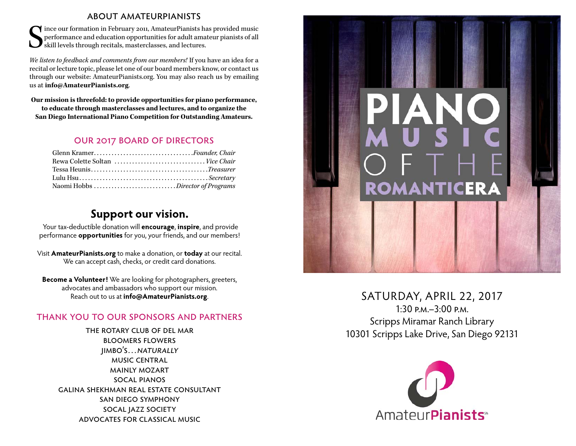#### about amateurpianists

 $\begin{array}{l} \displaystyle\bullet\text{} \end{array}$  Ince our formation in February 2011, AmateurPianists has provided music performance and education opportunities for adult amateur pianists of all skill levels through recitals, masterclasses, and le performance and education opportunities for adult amateur pianists of all skill levels through recitals, masterclasses, and lectures.

*We listen to feedback and comments from our members!* If you have an idea for a recital or lecture topic, please let one of our board members know, or contact us through our website: AmateurPianists.org. You may also reach us by emailing us at **info@AmateurPianists.org**.

**Our mission is threefold: to provide opportunities for piano performance, to educate through masterclasses and lectures, and to organize the San Diego International Piano Competition for Outstanding Amateurs.**

### our 2017 board of directors

| Glenn Kramer <i>Founder, Chair</i>                                     |
|------------------------------------------------------------------------|
|                                                                        |
| Tessa Heunis $\dots\dots\dots\dots\dots\dots\dots\dots\dots\dots\dots$ |
|                                                                        |
| Naomi Hobbs Director of Programs                                       |

## **Support our vision.**

Your tax-deductible donation will **encourage**, **inspire**, and provide performance **opportunities** for you, your friends, and our members!

Visit **AmateurPianists.org** to make a donation, or **today** at our recital. We can accept cash, checks, or credit card donations.

**Become a Volunteer!** We are looking for photographers, greeters, advocates and ambassadors who support our mission. Reach out to us at **info@AmateurPianists.org**.

#### thank you to our sponsors and partners

the rotary club of del mar bloomers flowers jimbo's…naturally music central mainly mozart socal pianos galina shekhman real estate consultant san diego symphony socal jazz society advocates for classical music



### SATURDAY, APRIL 22, 2017 1:30 p.m.–3:00 p.m. Scripps Miramar Ranch Library 10301 Scripps Lake Drive, San Diego 92131